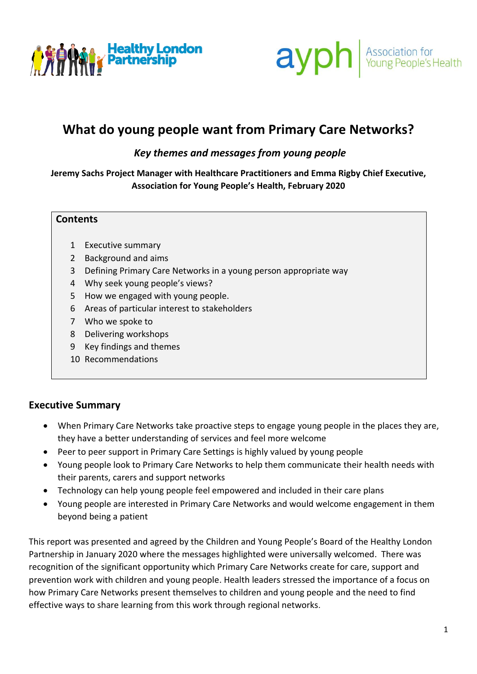



# **What do young people want from Primary Care Networks?**

#### *Key themes and messages from young people*

**Jeremy Sachs Project Manager with Healthcare Practitioners and Emma Rigby Chief Executive, Association for Young People's Health, February 2020**

#### **Contents**

- 1 Executive summary
- 2 Background and aims
- 3 Defining Primary Care Networks in a young person appropriate way
- 4 Why seek young people's views?
- 5 How we engaged with young people.
- 6 Areas of particular interest to stakeholders
- 7 Who we spoke to
- 8 Delivering workshops
- 9 Key findings and themes
- 10 Recommendations

#### **Executive Summary**

- When Primary Care Networks take proactive steps to engage young people in the places they are, they have a better understanding of services and feel more welcome
- Peer to peer support in Primary Care Settings is highly valued by young people
- Young people look to Primary Care Networks to help them communicate their health needs with their parents, carers and support networks
- Technology can help young people feel empowered and included in their care plans
- Young people are interested in Primary Care Networks and would welcome engagement in them beyond being a patient

This report was presented and agreed by the Children and Young People's Board of the Healthy London Partnership in January 2020 where the messages highlighted were universally welcomed. There was recognition of the significant opportunity which Primary Care Networks create for care, support and prevention work with children and young people. Health leaders stressed the importance of a focus on how Primary Care Networks present themselves to children and young people and the need to find effective ways to share learning from this work through regional networks.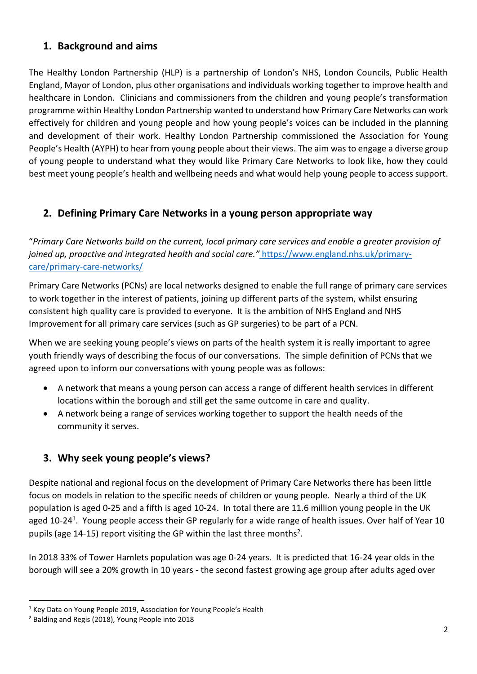# **1. Background and aims**

The Healthy London Partnership (HLP) is a partnership of London's NHS, London Councils, Public Health England, Mayor of London, plus other organisations and individuals working together to improve health and healthcare in London. Clinicians and commissioners from the children and young people's transformation programme within Healthy London Partnership wanted to understand how Primary Care Networks can work effectively for children and young people and how young people's voices can be included in the planning and development of their work. Healthy London Partnership commissioned the Association for Young People's Health (AYPH) to hear from young people about their views. The aim was to engage a diverse group of young people to understand what they would like Primary Care Networks to look like, how they could best meet young people's health and wellbeing needs and what would help young people to access support.

# **2. Defining Primary Care Networks in a young person appropriate way**

"*Primary Care Networks build on the current, local primary care services and enable a greater provision of joined up, proactive and integrated health and social care."* [https://www.england.nhs.uk/primary](https://www.england.nhs.uk/primary-care/primary-care-networks/)[care/primary-care-networks/](https://www.england.nhs.uk/primary-care/primary-care-networks/)

Primary Care Networks (PCNs) are local networks designed to enable the full range of primary care services to work together in the interest of patients, joining up different parts of the system, whilst ensuring consistent high quality care is provided to everyone. It is the ambition of NHS England and NHS Improvement for all primary care services (such as GP surgeries) to be part of a PCN.

When we are seeking young people's views on parts of the health system it is really important to agree youth friendly ways of describing the focus of our conversations. The simple definition of PCNs that we agreed upon to inform our conversations with young people was as follows:

- A network that means a young person can access a range of different health services in different locations within the borough and still get the same outcome in care and quality.
- A network being a range of services working together to support the health needs of the community it serves.

# **3. Why seek young people's views?**

Despite national and regional focus on the development of Primary Care Networks there has been little focus on models in relation to the specific needs of children or young people. Nearly a third of the UK population is aged 0-25 and a fifth is aged 10-24. In total there are 11.6 million young people in the UK aged 10-24<sup>1</sup>. Young people access their GP regularly for a wide range of health issues. Over half of Year 10 pupils (age 14-15) report visiting the GP within the last three months<sup>2</sup>.

In 2018 33% of Tower Hamlets population was age 0-24 years. It is predicted that 16-24 year olds in the borough will see a 20% growth in 10 years - the second fastest growing age group after adults aged over

<sup>&</sup>lt;sup>1</sup> Key Data on Young People 2019, Association for Young People's Health

<sup>2</sup> Balding and Regis (2018), Young People into 2018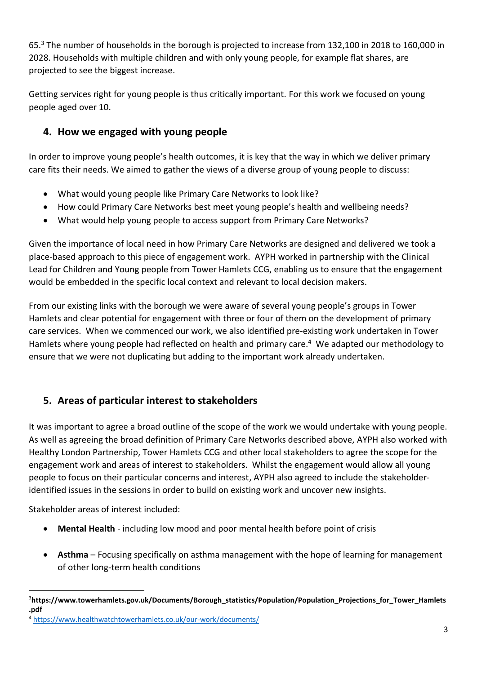65.<sup>3</sup> The number of households in the borough is projected to increase from 132,100 in 2018 to 160,000 in 2028. Households with multiple children and with only young people, for example flat shares, are projected to see the biggest increase.

Getting services right for young people is thus critically important. For this work we focused on young people aged over 10.

# **4. How we engaged with young people**

In order to improve young people's health outcomes, it is key that the way in which we deliver primary care fits their needs. We aimed to gather the views of a diverse group of young people to discuss:

- What would young people like Primary Care Networks to look like?
- How could Primary Care Networks best meet young people's health and wellbeing needs?
- What would help young people to access support from Primary Care Networks?

Given the importance of local need in how Primary Care Networks are designed and delivered we took a place-based approach to this piece of engagement work. AYPH worked in partnership with the Clinical Lead for Children and Young people from Tower Hamlets CCG, enabling us to ensure that the engagement would be embedded in the specific local context and relevant to local decision makers.

From our existing links with the borough we were aware of several young people's groups in Tower Hamlets and clear potential for engagement with three or four of them on the development of primary care services. When we commenced our work, we also identified pre-existing work undertaken in Tower Hamlets where young people had reflected on health and primary care. 4 We adapted our methodology to ensure that we were not duplicating but adding to the important work already undertaken.

# **5. Areas of particular interest to stakeholders**

It was important to agree a broad outline of the scope of the work we would undertake with young people. As well as agreeing the broad definition of Primary Care Networks described above, AYPH also worked with Healthy London Partnership, Tower Hamlets CCG and other local stakeholders to agree the scope for the engagement work and areas of interest to stakeholders. Whilst the engagement would allow all young people to focus on their particular concerns and interest, AYPH also agreed to include the stakeholderidentified issues in the sessions in order to build on existing work and uncover new insights.

Stakeholder areas of interest included:

- **Mental Health** including low mood and poor mental health before point of crisis
- **Asthma** Focusing specifically on asthma management with the hope of learning for management of other long-term health conditions

<sup>3</sup>**https://www.towerhamlets.gov.uk/Documents/Borough\_statistics/Population/Population\_Projections\_for\_Tower\_Hamlets .pdf**

<sup>4</sup> <https://www.healthwatchtowerhamlets.co.uk/our-work/documents/>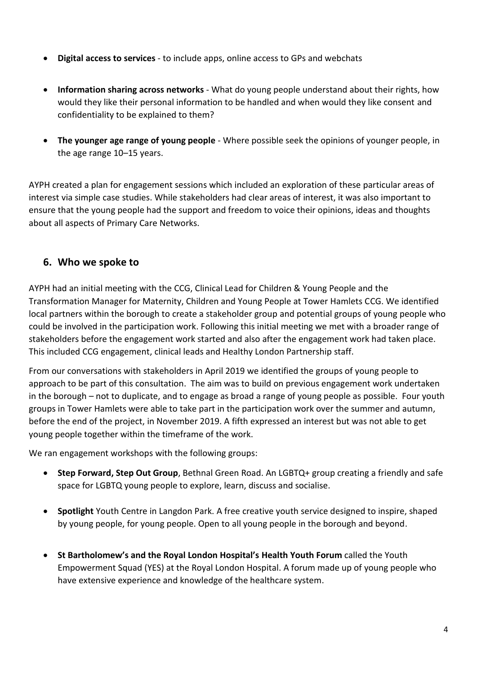- **Digital access to services** to include apps, online access to GPs and webchats
- **Information sharing across networks** What do young people understand about their rights, how would they like their personal information to be handled and when would they like consent and confidentiality to be explained to them?
- **The younger age range of young people** Where possible seek the opinions of younger people, in the age range 10–15 years.

AYPH created a plan for engagement sessions which included an exploration of these particular areas of interest via simple case studies. While stakeholders had clear areas of interest, it was also important to ensure that the young people had the support and freedom to voice their opinions, ideas and thoughts about all aspects of Primary Care Networks.

#### **6. Who we spoke to**

AYPH had an initial meeting with the CCG, Clinical Lead for Children & Young People and the Transformation Manager for Maternity, Children and Young People at Tower Hamlets CCG. We identified local partners within the borough to create a stakeholder group and potential groups of young people who could be involved in the participation work. Following this initial meeting we met with a broader range of stakeholders before the engagement work started and also after the engagement work had taken place. This included CCG engagement, clinical leads and Healthy London Partnership staff.

From our conversations with stakeholders in April 2019 we identified the groups of young people to approach to be part of this consultation. The aim was to build on previous engagement work undertaken in the borough – not to duplicate, and to engage as broad a range of young people as possible. Four youth groups in Tower Hamlets were able to take part in the participation work over the summer and autumn, before the end of the project, in November 2019. A fifth expressed an interest but was not able to get young people together within the timeframe of the work.

We ran engagement workshops with the following groups:

- **Step Forward, Step Out Group**, Bethnal Green Road. An LGBTQ+ group creating a friendly and safe space for LGBTQ young people to explore, learn, discuss and socialise.
- **Spotlight** Youth Centre in Langdon Park. A free creative youth service designed to inspire, shaped by young people, for young people. Open to all young people in the borough and beyond.
- **St Bartholomew's and the Royal London Hospital's Health Youth Forum** called the Youth Empowerment Squad (YES) at the Royal London Hospital. A forum made up of young people who have extensive experience and knowledge of the healthcare system.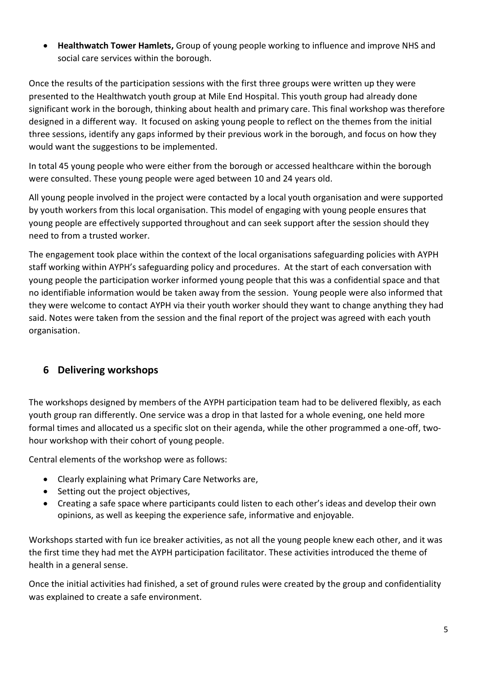• **Healthwatch Tower Hamlets,** Group of young people working to influence and improve NHS and social care services within the borough.

Once the results of the participation sessions with the first three groups were written up they were presented to the Healthwatch youth group at Mile End Hospital. This youth group had already done significant work in the borough, thinking about health and primary care. This final workshop was therefore designed in a different way. It focused on asking young people to reflect on the themes from the initial three sessions, identify any gaps informed by their previous work in the borough, and focus on how they would want the suggestions to be implemented.

In total 45 young people who were either from the borough or accessed healthcare within the borough were consulted. These young people were aged between 10 and 24 years old.

All young people involved in the project were contacted by a local youth organisation and were supported by youth workers from this local organisation. This model of engaging with young people ensures that young people are effectively supported throughout and can seek support after the session should they need to from a trusted worker.

The engagement took place within the context of the local organisations safeguarding policies with AYPH staff working within AYPH's safeguarding policy and procedures. At the start of each conversation with young people the participation worker informed young people that this was a confidential space and that no identifiable information would be taken away from the session. Young people were also informed that they were welcome to contact AYPH via their youth worker should they want to change anything they had said. Notes were taken from the session and the final report of the project was agreed with each youth organisation.

# **6 Delivering workshops**

The workshops designed by members of the AYPH participation team had to be delivered flexibly, as each youth group ran differently. One service was a drop in that lasted for a whole evening, one held more formal times and allocated us a specific slot on their agenda, while the other programmed a one-off, twohour workshop with their cohort of young people.

Central elements of the workshop were as follows:

- Clearly explaining what Primary Care Networks are,
- Setting out the project objectives,
- Creating a safe space where participants could listen to each other's ideas and develop their own opinions, as well as keeping the experience safe, informative and enjoyable.

Workshops started with fun ice breaker activities, as not all the young people knew each other, and it was the first time they had met the AYPH participation facilitator. These activities introduced the theme of health in a general sense.

Once the initial activities had finished, a set of ground rules were created by the group and confidentiality was explained to create a safe environment.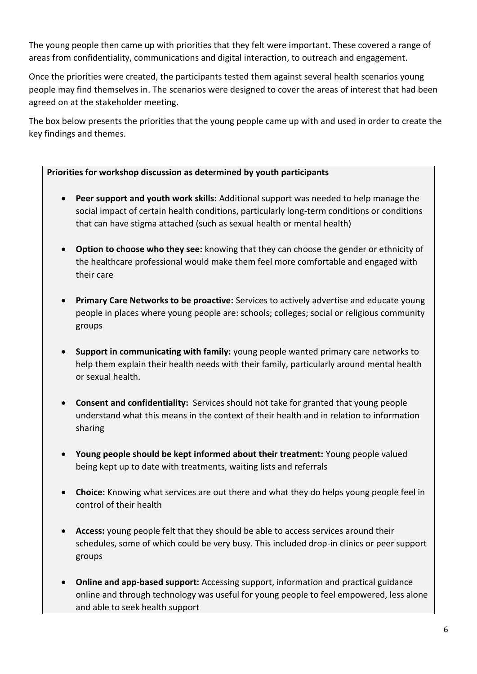The young people then came up with priorities that they felt were important. These covered a range of areas from confidentiality, communications and digital interaction, to outreach and engagement.

Once the priorities were created, the participants tested them against several health scenarios young people may find themselves in. The scenarios were designed to cover the areas of interest that had been agreed on at the stakeholder meeting.

The box below presents the priorities that the young people came up with and used in order to create the key findings and themes.

#### **Priorities for workshop discussion as determined by youth participants**

- **Peer support and youth work skills:** Additional support was needed to help manage the social impact of certain health conditions, particularly long-term conditions or conditions that can have stigma attached (such as sexual health or mental health)
- **Option to choose who they see:** knowing that they can choose the gender or ethnicity of the healthcare professional would make them feel more comfortable and engaged with their care
- **Primary Care Networks to be proactive:** Services to actively advertise and educate young people in places where young people are: schools; colleges; social or religious community groups
- **Support in communicating with family:** young people wanted primary care networks to help them explain their health needs with their family, particularly around mental health or sexual health.
- **Consent and confidentiality:** Services should not take for granted that young people understand what this means in the context of their health and in relation to information sharing
- **Young people should be kept informed about their treatment:** Young people valued being kept up to date with treatments, waiting lists and referrals
- **Choice:** Knowing what services are out there and what they do helps young people feel in control of their health
- **Access:** young people felt that they should be able to access services around their schedules, some of which could be very busy. This included drop-in clinics or peer support groups
- **Online and app-based support:** Accessing support, information and practical guidance online and through technology was useful for young people to feel empowered, less alone and able to seek health support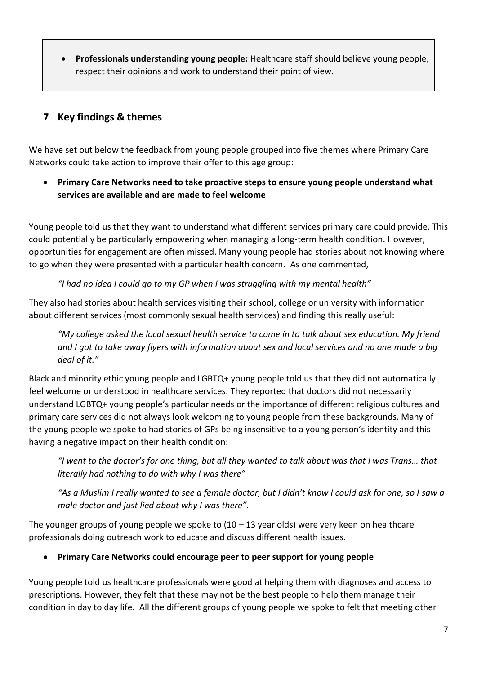• **Professionals understanding young people:** Healthcare staff should believe young people, respect their opinions and work to understand their point of view.

# **7 Key findings & themes**

We have set out below the feedback from young people grouped into five themes where Primary Care Networks could take action to improve their offer to this age group:

• **Primary Care Networks need to take proactive steps to ensure young people understand what services are available and are made to feel welcome**

Young people told us that they want to understand what different services primary care could provide. This could potentially be particularly empowering when managing a long-term health condition. However, opportunities for engagement are often missed. Many young people had stories about not knowing where to go when they were presented with a particular health concern. As one commented,

*"I had no idea I could go to my GP when I was struggling with my mental health"*

They also had stories about health services visiting their school, college or university with information about different services (most commonly sexual health services) and finding this really useful:

*"My college asked the local sexual health service to come in to talk about sex education. My friend and I got to take away flyers with information about sex and local services and no one made a big deal of it."*

Black and minority ethic young people and LGBTQ+ young people told us that they did not automatically feel welcome or understood in healthcare services. They reported that doctors did not necessarily understand LGBTQ+ young people's particular needs or the importance of different religious cultures and primary care services did not always look welcoming to young people from these backgrounds. Many of the young people we spoke to had stories of GPs being insensitive to a young person's identity and this having a negative impact on their health condition:

*"I went to the doctor's for one thing, but all they wanted to talk about was that I was Trans… that literally had nothing to do with why I was there"*

"As a Muslim I really wanted to see a female doctor, but I didn't know I could ask for one, so I saw a *male doctor and just lied about why I was there".*

The younger groups of young people we spoke to  $(10 - 13$  year olds) were very keen on healthcare professionals doing outreach work to educate and discuss different health issues.

• **Primary Care Networks could encourage peer to peer support for young people** 

Young people told us healthcare professionals were good at helping them with diagnoses and access to prescriptions. However, they felt that these may not be the best people to help them manage their condition in day to day life. All the different groups of young people we spoke to felt that meeting other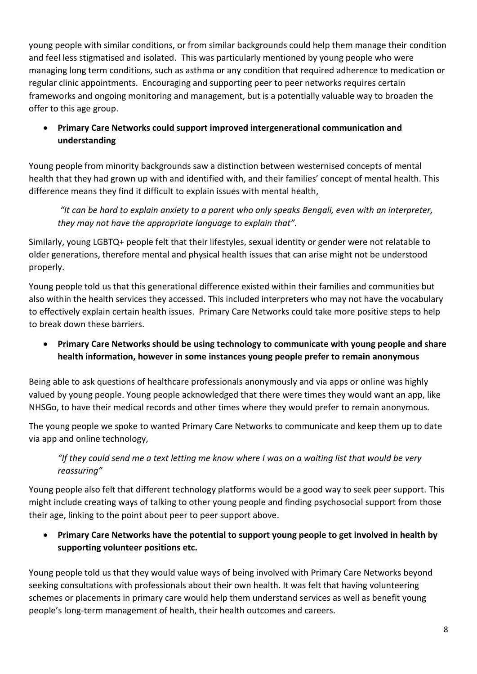young people with similar conditions, or from similar backgrounds could help them manage their condition and feel less stigmatised and isolated. This was particularly mentioned by young people who were managing long term conditions, such as asthma or any condition that required adherence to medication or regular clinic appointments. Encouraging and supporting peer to peer networks requires certain frameworks and ongoing monitoring and management, but is a potentially valuable way to broaden the offer to this age group.

#### • **Primary Care Networks could support improved intergenerational communication and understanding**

Young people from minority backgrounds saw a distinction between westernised concepts of mental health that they had grown up with and identified with, and their families' concept of mental health. This difference means they find it difficult to explain issues with mental health,

*"It can be hard to explain anxiety to a parent who only speaks Bengali, even with an interpreter, they may not have the appropriate language to explain that".* 

Similarly, young LGBTQ+ people felt that their lifestyles, sexual identity or gender were not relatable to older generations, therefore mental and physical health issues that can arise might not be understood properly.

Young people told us that this generational difference existed within their families and communities but also within the health services they accessed. This included interpreters who may not have the vocabulary to effectively explain certain health issues. Primary Care Networks could take more positive steps to help to break down these barriers.

• **Primary Care Networks should be using technology to communicate with young people and share health information, however in some instances young people prefer to remain anonymous**

Being able to ask questions of healthcare professionals anonymously and via apps or online was highly valued by young people. Young people acknowledged that there were times they would want an app, like NHSGo, to have their medical records and other times where they would prefer to remain anonymous.

The young people we spoke to wanted Primary Care Networks to communicate and keep them up to date via app and online technology,

#### *"If they could send me a text letting me know where I was on a waiting list that would be very reassuring"*

Young people also felt that different technology platforms would be a good way to seek peer support. This might include creating ways of talking to other young people and finding psychosocial support from those their age, linking to the point about peer to peer support above.

#### • **Primary Care Networks have the potential to support young people to get involved in health by supporting volunteer positions etc.**

Young people told us that they would value ways of being involved with Primary Care Networks beyond seeking consultations with professionals about their own health. It was felt that having volunteering schemes or placements in primary care would help them understand services as well as benefit young people's long-term management of health, their health outcomes and careers.